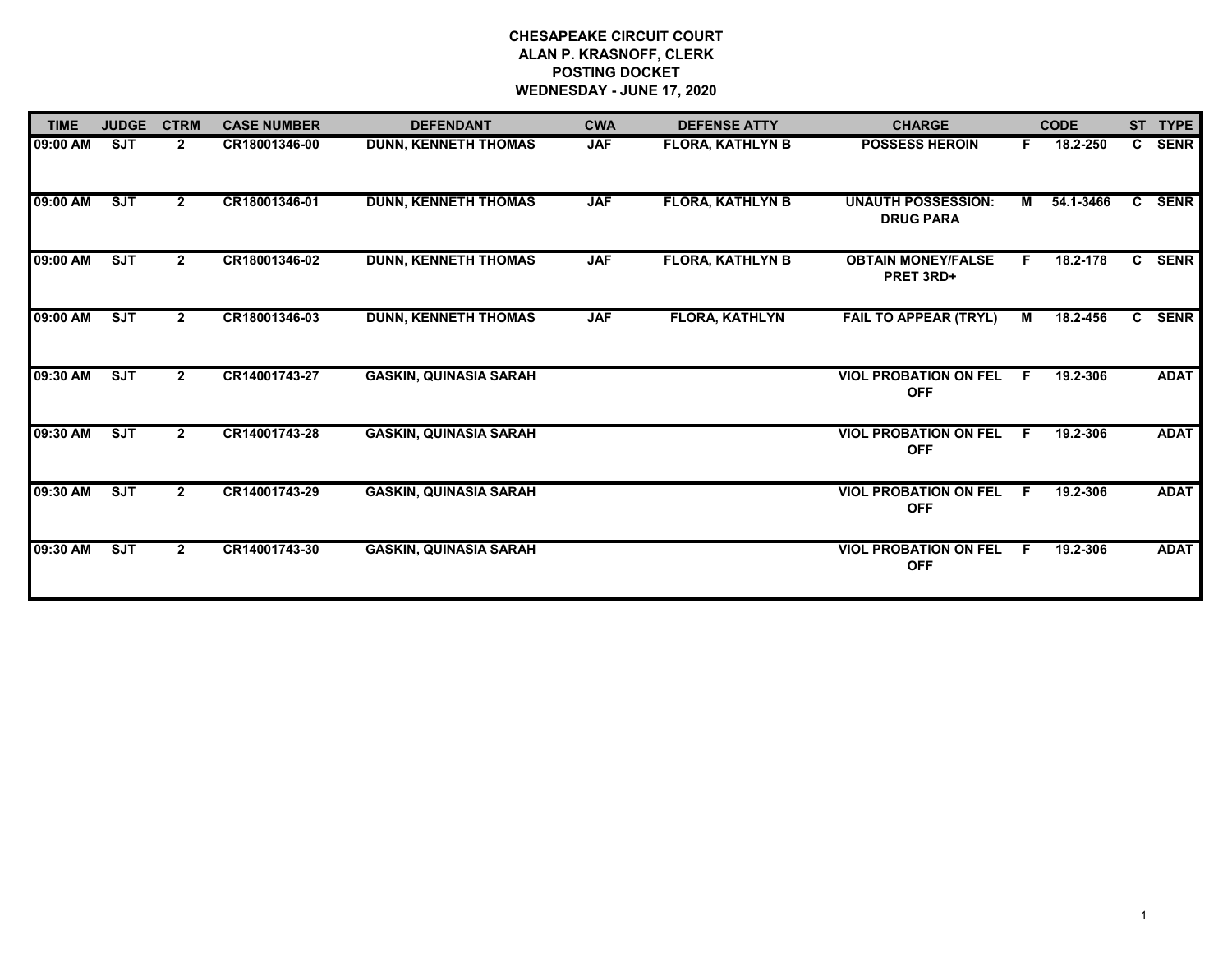## **CHESAPEAKE CIRCUIT COURT ALAN P. KRASNOFF, CLERK POSTING DOCKET WEDNESDAY - JUNE 17, 2020**

| <b>TIME</b> | <b>JUDGE</b> | <b>CTRM</b>    | <b>CASE NUMBER</b> | <b>DEFENDANT</b>              | <b>CWA</b> | <b>DEFENSE ATTY</b>     | <b>CHARGE</b>                                 |    | <b>CODE</b> |              | ST TYPE     |
|-------------|--------------|----------------|--------------------|-------------------------------|------------|-------------------------|-----------------------------------------------|----|-------------|--------------|-------------|
| 09:00 AM    | <b>SJT</b>   | $\mathbf{2}$   | CR18001346-00      | <b>DUNN, KENNETH THOMAS</b>   | <b>JAF</b> | <b>FLORA, KATHLYN B</b> | <b>POSSESS HEROIN</b>                         | F. | 18.2-250    | $\mathbf{c}$ | SENR        |
| 09:00 AM    | SJT          | $\mathbf{2}$   | CR18001346-01      | <b>DUNN, KENNETH THOMAS</b>   | <b>JAF</b> | <b>FLORA, KATHLYN B</b> | <b>UNAUTH POSSESSION:</b><br><b>DRUG PARA</b> | M  | 54.1-3466   |              | C SENR      |
| 09:00 AM    | <b>SJT</b>   | $\overline{2}$ | CR18001346-02      | <b>DUNN, KENNETH THOMAS</b>   | <b>JAF</b> | <b>FLORA, KATHLYN B</b> | <b>OBTAIN MONEY/FALSE</b><br>PRET 3RD+        | F. | 18.2-178    | C.           | <b>SENR</b> |
| 09:00 AM    | SJT          | $\mathbf{2}$   | CR18001346-03      | <b>DUNN, KENNETH THOMAS</b>   | <b>JAF</b> | <b>FLORA, KATHLYN</b>   | <b>FAIL TO APPEAR (TRYL)</b>                  | М  | 18.2-456    | $\mathbf{c}$ | <b>SENR</b> |
| 09:30 AM    | SJT          | $\mathbf{2}$   | CR14001743-27      | <b>GASKIN, QUINASIA SARAH</b> |            |                         | <b>VIOL PROBATION ON FEL</b><br><b>OFF</b>    | F. | 19.2-306    |              | <b>ADAT</b> |
| 09:30 AM    | SJT          | $\overline{2}$ | CR14001743-28      | <b>GASKIN, QUINASIA SARAH</b> |            |                         | <b>VIOL PROBATION ON FEL</b><br><b>OFF</b>    | F. | 19.2-306    |              | <b>ADAT</b> |
| 09:30 AM    | <b>SJT</b>   | $\mathbf{2}$   | CR14001743-29      | <b>GASKIN, QUINASIA SARAH</b> |            |                         | <b>VIOL PROBATION ON FEL</b><br><b>OFF</b>    | F. | 19.2-306    |              | <b>ADAT</b> |
| 09:30 AM    | <b>SJT</b>   | $\overline{2}$ | CR14001743-30      | <b>GASKIN, QUINASIA SARAH</b> |            |                         | <b>VIOL PROBATION ON FEL</b><br><b>OFF</b>    | F  | 19.2-306    |              | <b>ADAT</b> |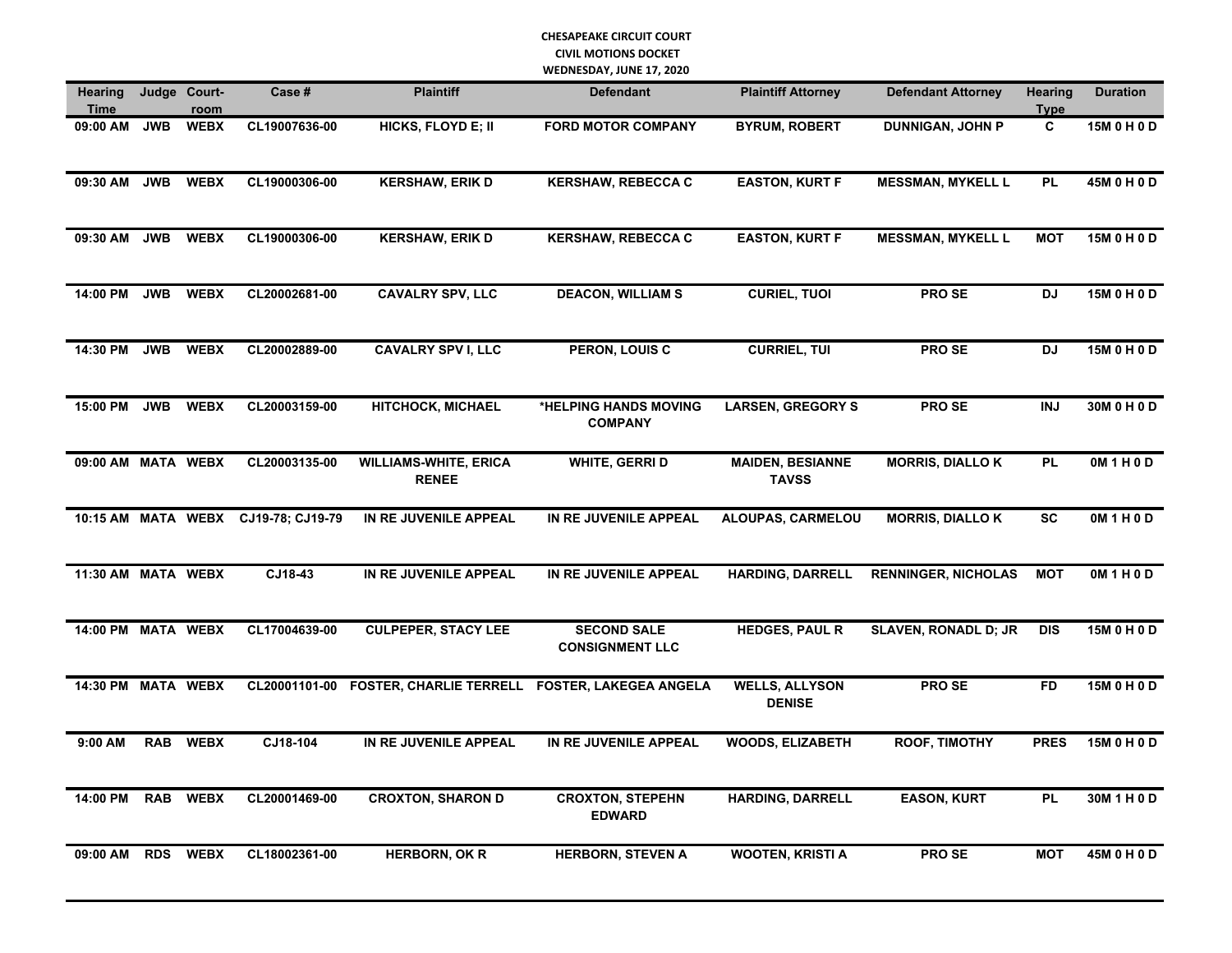## **CHESAPEAKE CIRCUIT COURT CIVIL MOTIONS DOCKET WEDNESDAY, JUNE 17, 2020**

| <b>Hearing</b><br>Time |            | Judge Court-<br>room | Case #                              | <b>Plaintiff</b>                             | <b>Defendant</b>                                             | <b>Plaintiff Attorney</b>               | <b>Defendant Attorney</b>  | <b>Hearing</b><br><b>Type</b> | <b>Duration</b>   |
|------------------------|------------|----------------------|-------------------------------------|----------------------------------------------|--------------------------------------------------------------|-----------------------------------------|----------------------------|-------------------------------|-------------------|
| 09:00 AM               | <b>JWB</b> | <b>WEBX</b>          | CL19007636-00                       | HICKS, FLOYD E; II                           | <b>FORD MOTOR COMPANY</b>                                    | <b>BYRUM, ROBERT</b>                    | <b>DUNNIGAN, JOHN P</b>    | C                             | 15M 0 H 0 D       |
| 09:30 AM               | <b>JWB</b> | <b>WEBX</b>          | CL19000306-00                       | <b>KERSHAW, ERIK D</b>                       | <b>KERSHAW, REBECCA C</b>                                    | <b>EASTON, KURT F</b>                   | <b>MESSMAN, MYKELL L</b>   | <b>PL</b>                     | 45M 0 H 0 D       |
| 09:30 AM               |            | JWB WEBX             | CL19000306-00                       | <b>KERSHAW, ERIK D</b>                       | <b>KERSHAW, REBECCA C</b>                                    | <b>EASTON, KURT F</b>                   | <b>MESSMAN, MYKELL L</b>   | <b>MOT</b>                    | 15M 0 H 0 D       |
| 14:00 PM JWB           |            | <b>WEBX</b>          | CL20002681-00                       | <b>CAVALRY SPV, LLC</b>                      | <b>DEACON, WILLIAM S</b>                                     | <b>CURIEL, TUOI</b>                     | PRO SE                     | <b>DJ</b>                     | 15M 0 H 0 D       |
| 14:30 PM               | <b>JWB</b> | <b>WEBX</b>          | CL20002889-00                       | <b>CAVALRY SPV I, LLC</b>                    | <b>PERON, LOUIS C</b>                                        | <b>CURRIEL, TUI</b>                     | PRO SE                     | DJ                            | 15M 0 H 0 D       |
| 15:00 PM JWB WEBX      |            |                      | CL20003159-00                       | <b>HITCHOCK, MICHAEL</b>                     | *HELPING HANDS MOVING<br><b>COMPANY</b>                      | <b>LARSEN, GREGORY S</b>                | <b>PROSE</b>               | <b>INJ</b>                    | 30M 0 H 0 D       |
| 09:00 AM MATA WEBX     |            |                      | CL20003135-00                       | <b>WILLIAMS-WHITE, ERICA</b><br><b>RENEE</b> | WHITE, GERRI D                                               | <b>MAIDEN, BESIANNE</b><br><b>TAVSS</b> | <b>MORRIS, DIALLO K</b>    | <b>PL</b>                     | 0M 1 H 0 D        |
|                        |            |                      | 10:15 AM MATA WEBX CJ19-78; CJ19-79 | IN RE JUVENILE APPEAL                        | IN RE JUVENILE APPEAL                                        | <b>ALOUPAS, CARMELOU</b>                | <b>MORRIS, DIALLOK</b>     | <b>SC</b>                     | OM1H0D            |
| 11:30 AM MATA WEBX     |            |                      | CJ18-43                             | IN RE JUVENILE APPEAL                        | IN RE JUVENILE APPEAL                                        | <b>HARDING, DARRELL</b>                 | <b>RENNINGER, NICHOLAS</b> | <b>MOT</b>                    | <b>OM 1 H 0 D</b> |
| 14:00 PM MATA WEBX     |            |                      | CL17004639-00                       | <b>CULPEPER, STACY LEE</b>                   | <b>SECOND SALE</b><br><b>CONSIGNMENT LLC</b>                 | <b>HEDGES, PAUL R</b>                   | SLAVEN, RONADL D; JR       | <b>DIS</b>                    | 15M 0 H 0 D       |
| 14:30 PM MATA WEBX     |            |                      |                                     |                                              | CL20001101-00 FOSTER, CHARLIE TERRELL FOSTER, LAKEGEA ANGELA | <b>WELLS, ALLYSON</b><br><b>DENISE</b>  | PRO SE                     | <b>FD</b>                     | 15M 0 H 0 D       |
| 9:00 AM                |            | RAB WEBX             | CJ18-104                            | IN RE JUVENILE APPEAL                        | IN RE JUVENILE APPEAL                                        | <b>WOODS, ELIZABETH</b>                 | ROOF, TIMOTHY              | <b>PRES</b>                   | 15M 0 H 0 D       |
| 14:00 PM               | <b>RAB</b> | <b>WEBX</b>          | CL20001469-00                       | <b>CROXTON, SHARON D</b>                     | <b>CROXTON, STEPEHN</b><br><b>EDWARD</b>                     | HARDING, DARRELL                        | <b>EASON, KURT</b>         | <b>PL</b>                     | 30M1H0D           |
| 09:00 AM               | <b>RDS</b> | <b>WEBX</b>          | CL18002361-00                       | <b>HERBORN, OK R</b>                         | <b>HERBORN, STEVEN A</b>                                     | <b>WOOTEN, KRISTI A</b>                 | PRO SE                     | <b>MOT</b>                    | 45M 0 H 0 D       |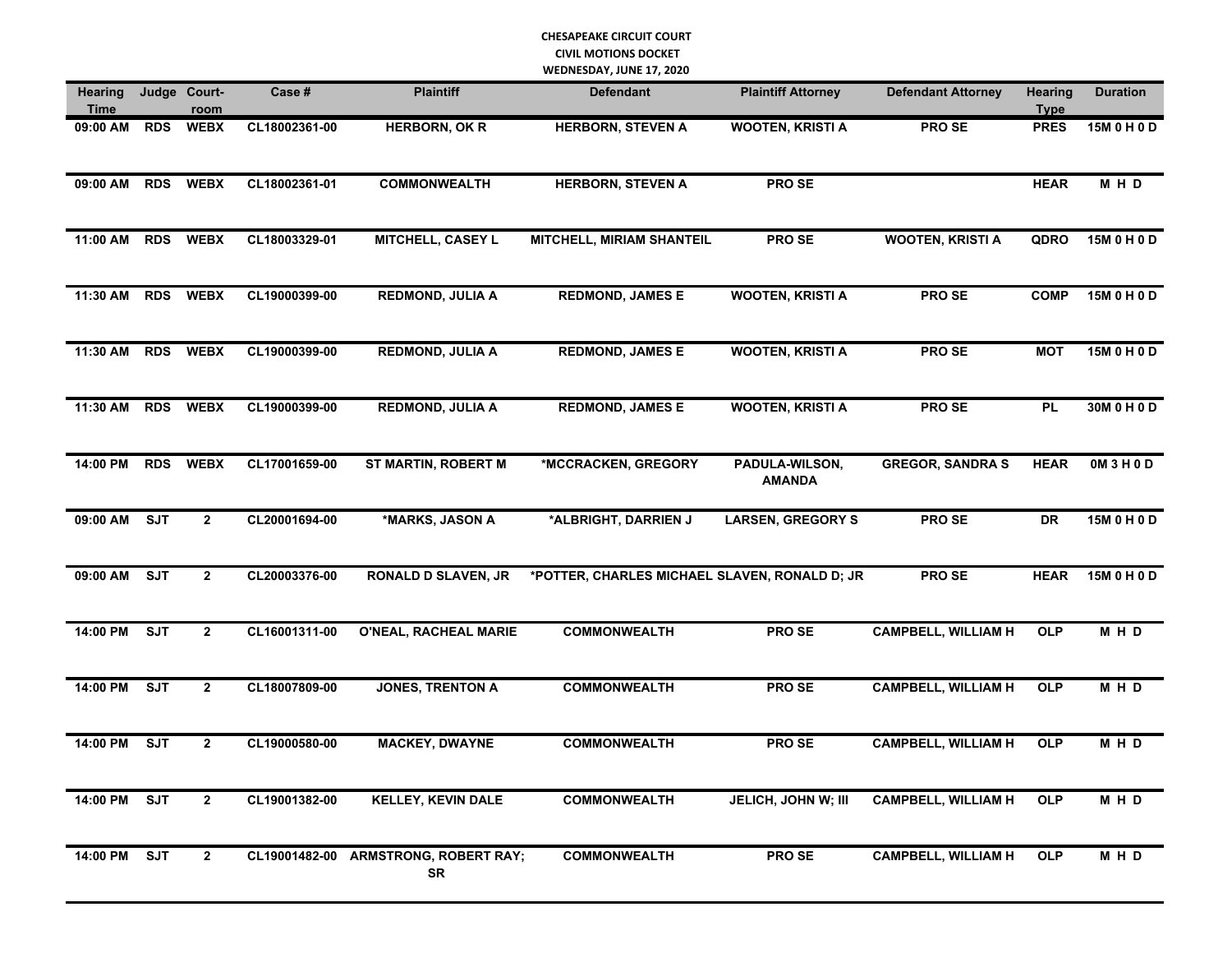## **CHESAPEAKE CIRCUIT COURT CIVIL MOTIONS DOCKET WEDNESDAY, JUNE 17, 2020**

| <b>Hearing</b><br>Time |            | Judge Court-<br>room | Case#         | <b>Plaintiff</b>                           | <b>Defendant</b>                              | <b>Plaintiff Attorney</b>       | <b>Defendant Attorney</b>  | Hearing<br><b>Type</b> | <b>Duration</b> |
|------------------------|------------|----------------------|---------------|--------------------------------------------|-----------------------------------------------|---------------------------------|----------------------------|------------------------|-----------------|
| 09:00 AM               | <b>RDS</b> | <b>WEBX</b>          | CL18002361-00 | <b>HERBORN, OK R</b>                       | <b>HERBORN, STEVEN A</b>                      | <b>WOOTEN, KRISTI A</b>         | PRO SE                     | <b>PRES</b>            | 15M 0 H 0 D     |
| 09:00 AM               |            | RDS WEBX             | CL18002361-01 | <b>COMMONWEALTH</b>                        | <b>HERBORN, STEVEN A</b>                      | PRO SE                          |                            | <b>HEAR</b>            | MHD             |
| 11:00 AM               |            | RDS WEBX             | CL18003329-01 | MITCHELL, CASEY L                          | <b>MITCHELL, MIRIAM SHANTEIL</b>              | <b>PROSE</b>                    | <b>WOOTEN, KRISTI A</b>    | QDRO                   | 15M 0 H 0 D     |
| 11:30 AM RDS WEBX      |            |                      | CL19000399-00 | <b>REDMOND, JULIA A</b>                    | <b>REDMOND, JAMES E</b>                       | <b>WOOTEN, KRISTI A</b>         | PRO SE                     | <b>COMP</b>            | 15M 0 H 0 D     |
| 11:30 AM               |            | RDS WEBX             | CL19000399-00 | <b>REDMOND, JULIA A</b>                    | <b>REDMOND, JAMES E</b>                       | <b>WOOTEN, KRISTI A</b>         | PRO SE                     | <b>MOT</b>             | 15M 0 H 0 D     |
| 11:30 AM               |            | RDS WEBX             | CL19000399-00 | <b>REDMOND, JULIA A</b>                    | <b>REDMOND, JAMES E</b>                       | <b>WOOTEN, KRISTI A</b>         | <b>PROSE</b>               | <b>PL</b>              | 30M 0 H 0 D     |
| 14:00 PM               |            | RDS WEBX             | CL17001659-00 | <b>ST MARTIN, ROBERT M</b>                 | *MCCRACKEN, GREGORY                           | PADULA-WILSON,<br><b>AMANDA</b> | <b>GREGOR, SANDRA S</b>    | <b>HEAR</b>            | OM3H0D          |
| 09:00 AM SJT           |            | $\overline{2}$       | CL20001694-00 | *MARKS, JASON A                            | *ALBRIGHT, DARRIEN J                          | <b>LARSEN, GREGORY S</b>        | PRO SE                     | <b>DR</b>              | 15M 0 H 0 D     |
| 09:00 AM SJT           |            | $\overline{2}$       | CL20003376-00 | <b>RONALD D SLAVEN, JR</b>                 | *POTTER, CHARLES MICHAEL SLAVEN, RONALD D; JR |                                 | PRO SE                     | <b>HEAR</b>            | 15M 0 H 0 D     |
| 14:00 PM               | <b>SJT</b> | $\overline{2}$       | CL16001311-00 | O'NEAL, RACHEAL MARIE                      | <b>COMMONWEALTH</b>                           | PRO SE                          | <b>CAMPBELL, WILLIAM H</b> | <b>OLP</b>             | MHD             |
| 14:00 PM               | SJT        | $\overline{2}$       | CL18007809-00 | <b>JONES, TRENTON A</b>                    | <b>COMMONWEALTH</b>                           | <b>PROSE</b>                    | <b>CAMPBELL, WILLIAM H</b> | <b>OLP</b>             | MHD             |
| 14:00 PM               | <b>SJT</b> | $\overline{2}$       | CL19000580-00 | <b>MACKEY, DWAYNE</b>                      | <b>COMMONWEALTH</b>                           | <b>PROSE</b>                    | <b>CAMPBELL, WILLIAM H</b> | <b>OLP</b>             | MHD             |
| 14:00 PM SJT           |            | $\overline{2}$       | CL19001382-00 | <b>KELLEY, KEVIN DALE</b>                  | <b>COMMONWEALTH</b>                           | JELICH, JOHN W; III             | <b>CAMPBELL, WILLIAM H</b> | <b>OLP</b>             | MHD             |
| 14:00 PM               | ST         | $\overline{2}$       |               | CL19001482-00 ARMSTRONG, ROBERT RAY;<br>SR | <b>COMMONWEALTH</b>                           | <b>PROSE</b>                    | <b>CAMPBELL, WILLIAM H</b> | <b>OLP</b>             | MHD             |